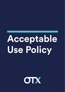## Acceptable Use Policy